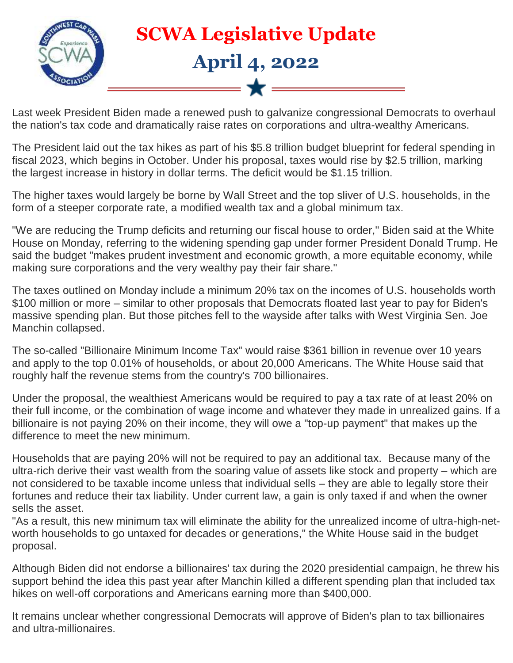

Last week President Biden made a renewed push to galvanize congressional Democrats to overhaul the nation's tax code and dramatically raise rates on corporations and ultra-wealthy Americans.

The President laid out the tax hikes as part of his \$5.8 trillion budget blueprint for federal spending in fiscal 2023, which begins in October. Under his proposal, taxes would rise by \$2.5 trillion, marking the largest increase in history in dollar terms. The deficit would be \$1.15 trillion.

The higher taxes would largely be borne by Wall Street and the top sliver of U.S. households, in the form of a steeper corporate rate, a modified wealth tax and a global minimum tax.

"We are reducing the Trump deficits and returning our fiscal house to order," Biden said at the White House on Monday, referring to the widening spending gap under former President Donald Trump. He said the budget "makes prudent investment and economic growth, a more equitable economy, while making sure corporations and the very wealthy pay their fair share."

The taxes outlined on Monday include a minimum 20% tax on the incomes of U.S. households worth \$100 million or more – similar to other proposals that Democrats floated last year to pay for Biden's massive spending plan. But those pitches fell to the wayside after talks with West Virginia Sen. Joe Manchin collapsed.

The so-called "Billionaire Minimum Income Tax" would raise \$361 billion in revenue over 10 years and apply to the top 0.01% of households, or about 20,000 Americans. The White House said that roughly half the revenue stems from the country's 700 billionaires.

Under the proposal, the wealthiest Americans would be required to pay a tax rate of at least 20% on their full income, or the combination of wage income and whatever they made in unrealized gains. If a billionaire is not paying 20% on their income, they will owe a "top-up payment" that makes up the difference to meet the new minimum.

Households that are paying 20% will not be required to pay an additional tax. Because many of the ultra-rich derive their vast wealth from the soaring value of assets like stock and property – which are not considered to be taxable income unless that individual sells – they are able to legally store their fortunes and reduce their tax liability. Under current law, a gain is only taxed if and when the owner sells the asset.

"As a result, this new minimum tax will eliminate the ability for the unrealized income of ultra-high-networth households to go untaxed for decades or generations," the White House said in the budget proposal.

Although Biden did not endorse a billionaires' tax during the 2020 presidential campaign, he threw his support behind the idea this past year after Manchin killed a different spending plan that included tax hikes on well-off corporations and Americans earning more than \$400,000.

It remains unclear whether congressional Democrats will approve of Biden's plan to tax billionaires and ultra-millionaires.